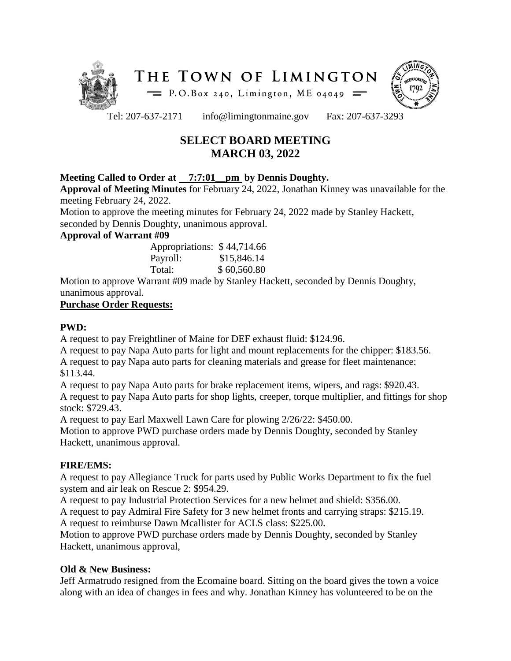



Tel: 207-637-2171 info@limingtonmaine.gov Fax: 207-637-3293

# **SELECT BOARD MEETING MARCH 03, 2022**

#### **Meeting Called to Order at 7:7:01\_\_pm by Dennis Doughty.**

**Approval of Meeting Minutes** for February 24, 2022, Jonathan Kinney was unavailable for the meeting February 24, 2022.

Motion to approve the meeting minutes for February 24, 2022 made by Stanley Hackett, seconded by Dennis Doughty, unanimous approval.

#### **Approval of Warrant #09**

| Appropriations: \$44,714.66 |             |
|-----------------------------|-------------|
| Payroll:                    | \$15,846.14 |
| Total:                      | \$60,560.80 |

Motion to approve Warrant #09 made by Stanley Hackett, seconded by Dennis Doughty, unanimous approval.

#### **Purchase Order Requests:**

### **PWD:**

A request to pay Freightliner of Maine for DEF exhaust fluid: \$124.96.

A request to pay Napa Auto parts for light and mount replacements for the chipper: \$183.56. A request to pay Napa auto parts for cleaning materials and grease for fleet maintenance: \$113.44.

A request to pay Napa Auto parts for brake replacement items, wipers, and rags: \$920.43. A request to pay Napa Auto parts for shop lights, creeper, torque multiplier, and fittings for shop stock: \$729.43.

A request to pay Earl Maxwell Lawn Care for plowing 2/26/22: \$450.00.

Motion to approve PWD purchase orders made by Dennis Doughty, seconded by Stanley Hackett, unanimous approval.

### **FIRE/EMS:**

A request to pay Allegiance Truck for parts used by Public Works Department to fix the fuel system and air leak on Rescue 2: \$954.29.

A request to pay Industrial Protection Services for a new helmet and shield: \$356.00.

A request to pay Admiral Fire Safety for 3 new helmet fronts and carrying straps: \$215.19. A request to reimburse Dawn Mcallister for ACLS class: \$225.00.

Motion to approve PWD purchase orders made by Dennis Doughty, seconded by Stanley Hackett, unanimous approval,

### **Old & New Business:**

Jeff Armatrudo resigned from the Ecomaine board. Sitting on the board gives the town a voice along with an idea of changes in fees and why. Jonathan Kinney has volunteered to be on the